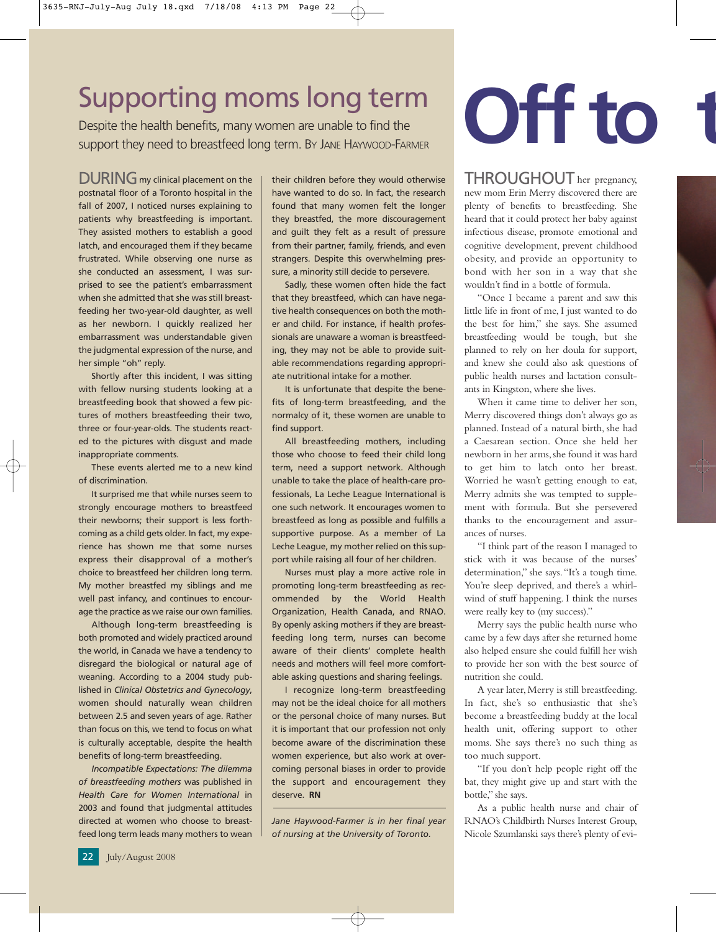## Supporting moms long term

Despite the health benefits, many women are unable to find the support they need to breastfeed long term. BY JANE HAYWOOD-FARMER

DURING my clinical placement on the | their children before they would otherwise THROUGHOUT I postnatal floor of a Toronto hospital in the fall of 2007, I noticed nurses explaining to patients why breastfeeding is important. They assisted mothers to establish a good latch, and encouraged them if they became frustrated. While observing one nurse as she conducted an assessment, I was surprised to see the patient's embarrassment when she admitted that she was still breastfeeding her two-year-old daughter, as well as her newborn. I quickly realized her embarrassment was understandable given the judgmental expression of the nurse, and her simple "oh" reply.

Shortly after this incident, I was sitting with fellow nursing students looking at a breastfeeding book that showed a few pictures of mothers breastfeeding their two, three or four-year-olds. The students reacted to the pictures with disgust and made inappropriate comments.

These events alerted me to a new kind of discrimination.

It surprised me that while nurses seem to strongly encourage mothers to breastfeed their newborns; their support is less forthcoming as a child gets older. In fact, my experience has shown me that some nurses express their disapproval of a mother's choice to breastfeed her children long term. My mother breastfed my siblings and me well past infancy, and continues to encourage the practice as we raise our own families.

Although long-term breastfeeding is both promoted and widely practiced around the world, in Canada we have a tendency to disregard the biological or natural age of weaning. According to a 2004 study published in *Clinical Obstetrics and Gynecology*, women should naturally wean children between 2.5 and seven years of age. Rather than focus on this, we tend to focus on what is culturally acceptable, despite the health benefits of long-term breastfeeding.

*Incompatible Expectations: The dilemma of breastfeeding mothers* was published in *Health Care for Women International* in 2003 and found that judgmental attitudes directed at women who choose to breastfeed long term leads many mothers to wean their children before they would otherwise have wanted to do so. In fact, the research found that many women felt the longer they breastfed, the more discouragement and guilt they felt as a result of pressure from their partner, family, friends, and even strangers. Despite this overwhelming pressure, a minority still decide to persevere.

Sadly, these women often hide the fact that they breastfeed, which can have negative health consequences on both the mother and child. For instance, if health professionals are unaware a woman is breastfeeding, they may not be able to provide suitable recommendations regarding appropriate nutritional intake for a mother.

It is unfortunate that despite the benefits of long-term breastfeeding, and the normalcy of it, these women are unable to find support.

All breastfeeding mothers, including those who choose to feed their child long term, need a support network. Although unable to take the place of health-care professionals, La Leche League International is one such network. It encourages women to breastfeed as long as possible and fulfills a supportive purpose. As a member of La Leche League, my mother relied on this support while raising all four of her children.

Nurses must play a more active role in promoting long-term breastfeeding as recommended by the World Health Organization, Health Canada, and RNAO. By openly asking mothers if they are breastfeeding long term, nurses can become aware of their clients' complete health needs and mothers will feel more comfortable asking questions and sharing feelings.

I recognize long-term breastfeeding may not be the ideal choice for all mothers or the personal choice of many nurses. But it is important that our profession not only become aware of the discrimination these women experience, but also work at overcoming personal biases in order to provide the support and encouragement they deserve. **RN**

*Jane Haywood-Farmer is in her final year of nursing at the University of Toronto.*

## **Off to**

THROUGHOUT her pregnancy, new mom Erin Merry discovered there are plenty of benefits to breastfeeding. She heard that it could protect her baby against infectious disease, promote emotional and cognitive development, prevent childhood obesity, and provide an opportunity to bond with her son in a way that she wouldn't find in a bottle of formula.

"Once I became a parent and saw this little life in front of me, I just wanted to do the best for him," she says. She assumed breastfeeding would be tough, but she planned to rely on her doula for support, and knew she could also ask questions of public health nurses and lactation consultants in Kingston, where she lives.

When it came time to deliver her son, Merry discovered things don't always go as planned. Instead of a natural birth, she had a Caesarean section. Once she held her newborn in her arms, she found it was hard to get him to latch onto her breast. Worried he wasn't getting enough to eat, Merry admits she was tempted to supplement with formula. But she persevered thanks to the encouragement and assurances of nurses.

"I think part of the reason I managed to stick with it was because of the nurses' determination," she says."It's a tough time. You're sleep deprived, and there's a whirlwind of stuff happening. I think the nurses were really key to (my success)."

Merry says the public health nurse who came by a few days after she returned home also helped ensure she could fulfill her wish to provide her son with the best source of nutrition she could.

A year later, Merry is still breastfeeding. In fact, she's so enthusiastic that she's become a breastfeeding buddy at the local health unit, offering support to other moms. She says there's no such thing as too much support.

"If you don't help people right off the bat, they might give up and start with the bottle," she says.

As a public health nurse and chair of RNAO's Childbirth Nurses Interest Group, Nicole Szumlanski says there's plenty of evi-